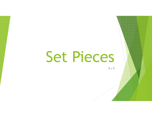# Set Pieces

9 v 9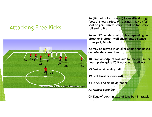#### Attacking Free Kicks



X6 (Midfield – Left footed) X7 (Midfield – Right footed) Show variety of routines (max 3) for shot on goal– Direct strike – foot on top strike, roll and strike

X6 and X7 decide what to play depending on direct or indirect, wall alignment, distance from goal, GK etc

X2 may be played in on overlapping run based on defenders reactions

X8 Plays on edge of wall and follows ball in, or lines up alongside X5 if not shooting direct

X5 Best at attacking ball

X9 Best finisher (forward).

X4 Quick and smart defender

X3 Fastest defender

GK Edge of box – in case of long ball in attack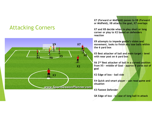### Attacking Corners



X7 (Forward or Midfield) passes to X8 (Forward or Midfield), X8 attacks the goal, X7 overlaps

X7 and X8 decide when to play short or long corner or play to X2 based on defenders reaction

X9 attempts to impede goalie's vision and movement, looks to finish <mark>any lose balls within</mark> the 6 yard box

X5 Best attacker of ball and main target – level with near post on 6 yard box

X6 2<sup>nd</sup> Best attacker of ball in a curved position from X5 - middle of Goal - <mark>approx 8 yar</mark>ds out of goal

X2 Edge of box - ball side

X4 Quick and smart player - can read game and situation

X3 Fastest Defender

GK Edge of box – in case of long ball in attack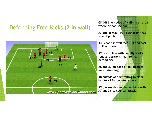## Defending Free Kicks (2 in wall)



GK Off line - edge of wall – in an area where he can see ball

X3 End of Wall – Full Back from that side of pitch

X4 Second in wall faces GK and post to line up wall

X2, X5 on line with penalty spot in regular positions (man to man defending)

X6 and X7 on edge of box (man to man defending).

X8 outside of box waiting to clear ball to X9 for counter attack.

X9 (Forward) looks to combine with X7 and X8 to counter attack.